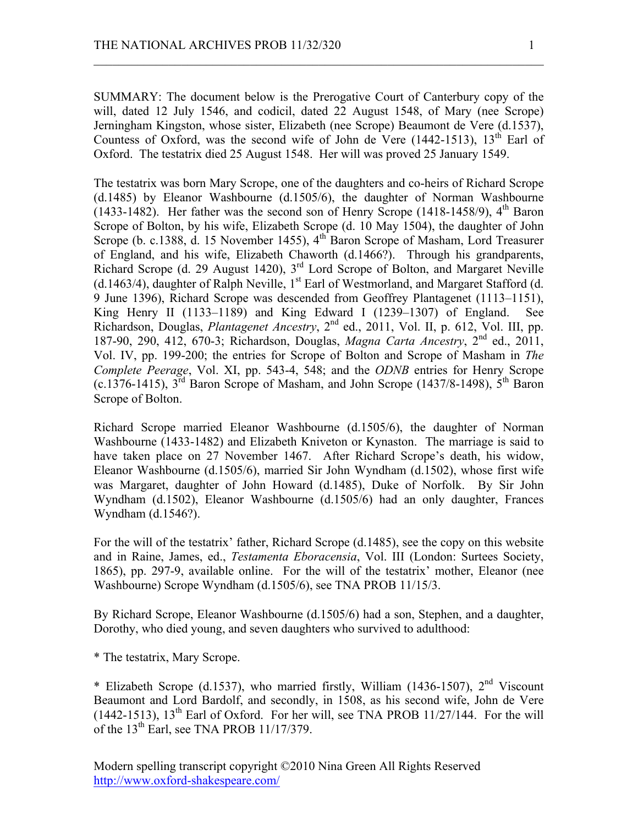SUMMARY: The document below is the Prerogative Court of Canterbury copy of the will, dated 12 July 1546, and codicil, dated 22 August 1548, of Mary (nee Scrope) Jerningham Kingston, whose sister, Elizabeth (nee Scrope) Beaumont de Vere (d.1537), Countess of Oxford, was the second wife of John de Vere  $(1442-1513)$ ,  $13<sup>th</sup>$  Earl of Oxford. The testatrix died 25 August 1548. Her will was proved 25 January 1549.

 $\mathcal{L}_\text{max}$  , and the contribution of the contribution of the contribution of the contribution of the contribution of the contribution of the contribution of the contribution of the contribution of the contribution of t

The testatrix was born Mary Scrope, one of the daughters and co-heirs of Richard Scrope (d.1485) by Eleanor Washbourne (d.1505/6), the daughter of Norman Washbourne (1433-1482). Her father was the second son of Henry Scrope (1418-1458/9),  $4<sup>th</sup>$  Baron Scrope of Bolton, by his wife, Elizabeth Scrope (d. 10 May 1504), the daughter of John Scrope (b. c.1388, d. 15 November 1455), 4<sup>th</sup> Baron Scrope of Masham, Lord Treasurer of England, and his wife, Elizabeth Chaworth (d.1466?). Through his grandparents, Richard Scrope (d. 29 August 1420), 3rd Lord Scrope of Bolton, and Margaret Neville (d.1463/4), daughter of Ralph Neville,  $1<sup>st</sup>$  Earl of Westmorland, and Margaret Stafford (d. 9 June 1396), Richard Scrope was descended from Geoffrey Plantagenet (1113–1151), King Henry II (1133–1189) and King Edward I (1239–1307) of England. See Richardson, Douglas, *Plantagenet Ancestry*, 2nd ed., 2011, Vol. II, p. 612, Vol. III, pp. 187-90, 290, 412, 670-3; Richardson, Douglas, *Magna Carta Ancestry*, 2nd ed., 2011, Vol. IV, pp. 199-200; the entries for Scrope of Bolton and Scrope of Masham in *The Complete Peerage*, Vol. XI, pp. 543-4, 548; and the *ODNB* entries for Henry Scrope (c.1376-1415),  $3<sup>rd</sup>$  Baron Scrope of Masham, and John Scrope (1437/8-1498),  $5<sup>th</sup>$  Baron Scrope of Bolton.

Richard Scrope married Eleanor Washbourne (d.1505/6), the daughter of Norman Washbourne (1433-1482) and Elizabeth Kniveton or Kynaston. The marriage is said to have taken place on 27 November 1467. After Richard Scrope's death, his widow, Eleanor Washbourne (d.1505/6), married Sir John Wyndham (d.1502), whose first wife was Margaret, daughter of John Howard (d.1485), Duke of Norfolk. By Sir John Wyndham (d.1502), Eleanor Washbourne (d.1505/6) had an only daughter, Frances Wyndham (d.1546?).

For the will of the testatrix' father, Richard Scrope (d.1485), see the copy on this website and in Raine, James, ed., *Testamenta Eboracensia*, Vol. III (London: Surtees Society, 1865), pp. 297-9, available online. For the will of the testatrix' mother, Eleanor (nee Washbourne) Scrope Wyndham (d.1505/6), see TNA PROB 11/15/3.

By Richard Scrope, Eleanor Washbourne (d.1505/6) had a son, Stephen, and a daughter, Dorothy, who died young, and seven daughters who survived to adulthood:

\* The testatrix, Mary Scrope.

\* Elizabeth Scrope (d.1537), who married firstly, William (1436-1507),  $2<sup>nd</sup>$  Viscount Beaumont and Lord Bardolf, and secondly, in 1508, as his second wife, John de Vere (1442-1513),  $13<sup>th</sup>$  Earl of Oxford. For her will, see TNA PROB 11/27/144. For the will of the  $13<sup>th</sup>$  Earl, see TNA PROB 11/17/379.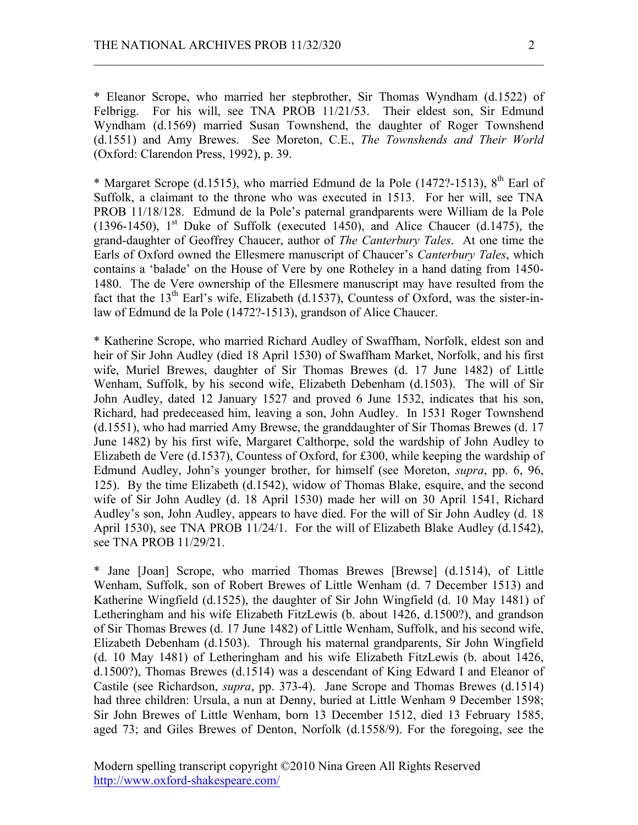\* Eleanor Scrope, who married her stepbrother, Sir Thomas Wyndham (d.1522) of Felbrigg. For his will, see TNA PROB 11/21/53. Their eldest son, Sir Edmund Wyndham (d.1569) married Susan Townshend, the daughter of Roger Townshend (d.1551) and Amy Brewes. See Moreton, C.E., *The Townshends and Their World* (Oxford: Clarendon Press, 1992), p. 39.

 $\mathcal{L}_\text{max}$  , and the contribution of the contribution of the contribution of the contribution of the contribution of the contribution of the contribution of the contribution of the contribution of the contribution of t

\* Margaret Scrope (d.1515), who married Edmund de la Pole (1472?-1513),  $8<sup>th</sup>$  Earl of Suffolk, a claimant to the throne who was executed in 1513. For her will, see TNA PROB 11/18/128. Edmund de la Pole's paternal grandparents were William de la Pole (1396-1450),  $1<sup>st</sup>$  Duke of Suffolk (executed 1450), and Alice Chaucer (d.1475), the grand-daughter of Geoffrey Chaucer, author of *The Canterbury Tales*. At one time the Earls of Oxford owned the Ellesmere manuscript of Chaucer's *Canterbury Tales*, which contains a 'balade' on the House of Vere by one Rotheley in a hand dating from 1450- 1480. The de Vere ownership of the Ellesmere manuscript may have resulted from the fact that the  $13<sup>th</sup>$  Earl's wife, Elizabeth (d.1537), Countess of Oxford, was the sister-inlaw of Edmund de la Pole (1472?-1513), grandson of Alice Chaucer.

\* Katherine Scrope, who married Richard Audley of Swaffham, Norfolk, eldest son and heir of Sir John Audley (died 18 April 1530) of Swaffham Market, Norfolk, and his first wife, Muriel Brewes, daughter of Sir Thomas Brewes (d. 17 June 1482) of Little Wenham, Suffolk, by his second wife, Elizabeth Debenham (d.1503). The will of Sir John Audley, dated 12 January 1527 and proved 6 June 1532, indicates that his son, Richard, had predeceased him, leaving a son, John Audley. In 1531 Roger Townshend (d.1551), who had married Amy Brewse, the granddaughter of Sir Thomas Brewes (d. 17 June 1482) by his first wife, Margaret Calthorpe, sold the wardship of John Audley to Elizabeth de Vere (d.1537), Countess of Oxford, for £300, while keeping the wardship of Edmund Audley, John's younger brother, for himself (see Moreton, *supra*, pp. 6, 96, 125). By the time Elizabeth (d.1542), widow of Thomas Blake, esquire, and the second wife of Sir John Audley (d. 18 April 1530) made her will on 30 April 1541, Richard Audley's son, John Audley, appears to have died. For the will of Sir John Audley (d. 18 April 1530), see TNA PROB 11/24/1. For the will of Elizabeth Blake Audley (d.1542), see TNA PROB 11/29/21.

\* Jane [Joan] Scrope, who married Thomas Brewes [Brewse] (d.1514), of Little Wenham, Suffolk, son of Robert Brewes of Little Wenham (d. 7 December 1513) and Katherine Wingfield (d.1525), the daughter of Sir John Wingfield (d. 10 May 1481) of Letheringham and his wife Elizabeth FitzLewis (b. about 1426, d.1500?), and grandson of Sir Thomas Brewes (d. 17 June 1482) of Little Wenham, Suffolk, and his second wife, Elizabeth Debenham (d.1503). Through his maternal grandparents, Sir John Wingfield (d. 10 May 1481) of Letheringham and his wife Elizabeth FitzLewis (b. about 1426, d.1500?), Thomas Brewes (d.1514) was a descendant of King Edward I and Eleanor of Castile (see Richardson, *supra*, pp. 373-4). Jane Scrope and Thomas Brewes (d.1514) had three children: Ursula, a nun at Denny, buried at Little Wenham 9 December 1598; Sir John Brewes of Little Wenham, born 13 December 1512, died 13 February 1585, aged 73; and Giles Brewes of Denton, Norfolk (d.1558/9). For the foregoing, see the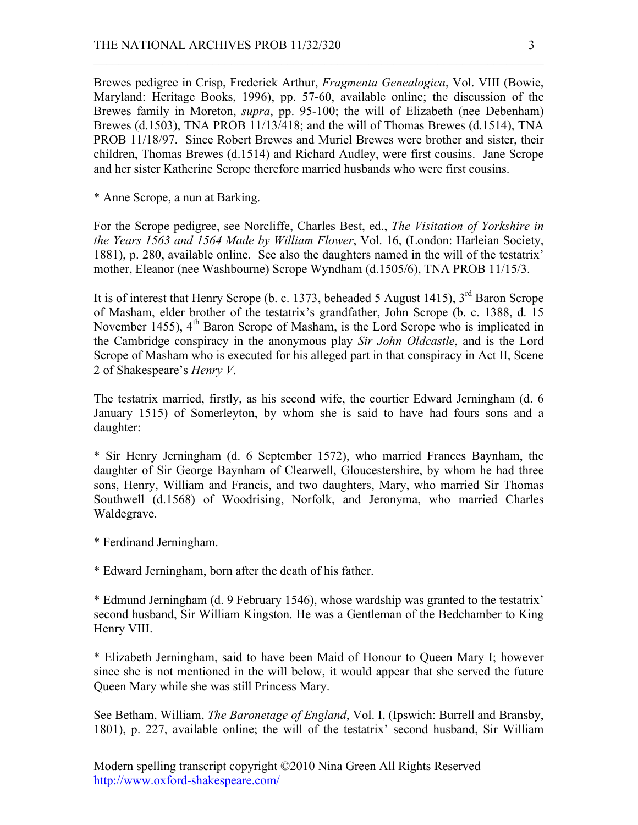Brewes pedigree in Crisp, Frederick Arthur, *Fragmenta Genealogica*, Vol. VIII (Bowie, Maryland: Heritage Books, 1996), pp. 57-60, available online; the discussion of the Brewes family in Moreton, *supra*, pp. 95-100; the will of Elizabeth (nee Debenham) Brewes (d.1503), TNA PROB 11/13/418; and the will of Thomas Brewes (d.1514), TNA PROB 11/18/97. Since Robert Brewes and Muriel Brewes were brother and sister, their children, Thomas Brewes (d.1514) and Richard Audley, were first cousins. Jane Scrope and her sister Katherine Scrope therefore married husbands who were first cousins.

 $\mathcal{L}_\text{max}$  , and the contribution of the contribution of the contribution of the contribution of the contribution of the contribution of the contribution of the contribution of the contribution of the contribution of t

\* Anne Scrope, a nun at Barking.

For the Scrope pedigree, see Norcliffe, Charles Best, ed., *The Visitation of Yorkshire in the Years 1563 and 1564 Made by William Flower*, Vol. 16, (London: Harleian Society, 1881), p. 280, available online. See also the daughters named in the will of the testatrix' mother, Eleanor (nee Washbourne) Scrope Wyndham (d.1505/6), TNA PROB 11/15/3.

It is of interest that Henry Scrope (b. c. 1373, beheaded 5 August 1415), 3<sup>rd</sup> Baron Scrope of Masham, elder brother of the testatrix's grandfather, John Scrope (b. c. 1388, d. 15 November 1455),  $4<sup>th</sup>$  Baron Scrope of Masham, is the Lord Scrope who is implicated in the Cambridge conspiracy in the anonymous play *Sir John Oldcastle*, and is the Lord Scrope of Masham who is executed for his alleged part in that conspiracy in Act II, Scene 2 of Shakespeare's *Henry V*.

The testatrix married, firstly, as his second wife, the courtier Edward Jerningham (d. 6 January 1515) of Somerleyton, by whom she is said to have had fours sons and a daughter:

\* Sir Henry Jerningham (d. 6 September 1572), who married Frances Baynham, the daughter of Sir George Baynham of Clearwell, Gloucestershire, by whom he had three sons, Henry, William and Francis, and two daughters, Mary, who married Sir Thomas Southwell (d.1568) of Woodrising, Norfolk, and Jeronyma, who married Charles Waldegrave.

\* Ferdinand Jerningham.

\* Edward Jerningham, born after the death of his father.

\* Edmund Jerningham (d. 9 February 1546), whose wardship was granted to the testatrix' second husband, Sir William Kingston. He was a Gentleman of the Bedchamber to King Henry VIII.

\* Elizabeth Jerningham, said to have been Maid of Honour to Queen Mary I; however since she is not mentioned in the will below, it would appear that she served the future Queen Mary while she was still Princess Mary.

See Betham, William, *The Baronetage of England*, Vol. I, (Ipswich: Burrell and Bransby, 1801), p. 227, available online; the will of the testatrix' second husband, Sir William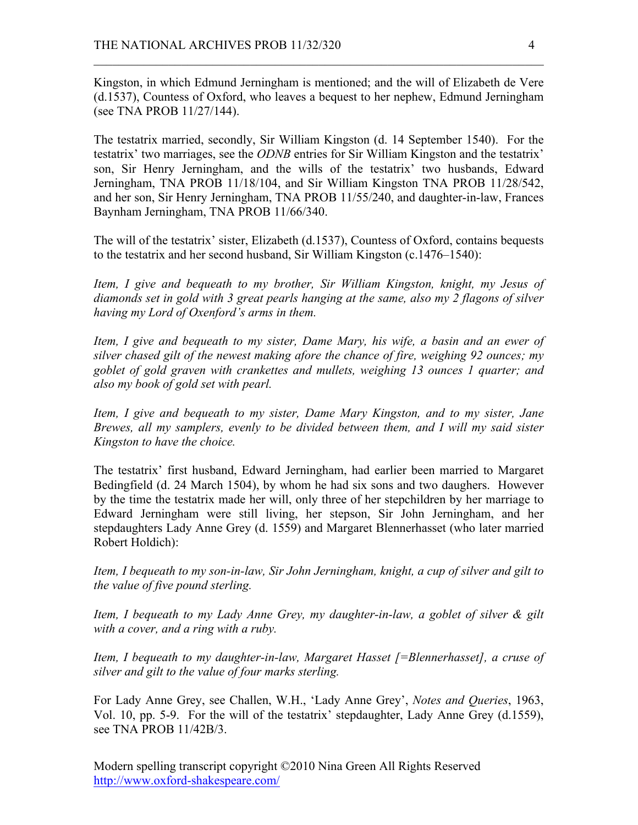Kingston, in which Edmund Jerningham is mentioned; and the will of Elizabeth de Vere (d.1537), Countess of Oxford, who leaves a bequest to her nephew, Edmund Jerningham (see TNA PROB 11/27/144).

 $\mathcal{L}_\text{max}$  , and the contribution of the contribution of the contribution of the contribution of the contribution of the contribution of the contribution of the contribution of the contribution of the contribution of t

The testatrix married, secondly, Sir William Kingston (d. 14 September 1540). For the testatrix' two marriages, see the *ODNB* entries for Sir William Kingston and the testatrix' son, Sir Henry Jerningham, and the wills of the testatrix' two husbands, Edward Jerningham, TNA PROB 11/18/104, and Sir William Kingston TNA PROB 11/28/542, and her son, Sir Henry Jerningham, TNA PROB 11/55/240, and daughter-in-law, Frances Baynham Jerningham, TNA PROB 11/66/340.

The will of the testatrix' sister, Elizabeth (d.1537), Countess of Oxford, contains bequests to the testatrix and her second husband, Sir William Kingston (c.1476–1540):

*Item, I give and bequeath to my brother, Sir William Kingston, knight, my Jesus of diamonds set in gold with 3 great pearls hanging at the same, also my 2 flagons of silver having my Lord of Oxenford's arms in them.*

*Item, I give and bequeath to my sister, Dame Mary, his wife, a basin and an ewer of silver chased gilt of the newest making afore the chance of fire, weighing 92 ounces; my goblet of gold graven with crankettes and mullets, weighing 13 ounces 1 quarter; and also my book of gold set with pearl.*

*Item, I give and bequeath to my sister, Dame Mary Kingston, and to my sister, Jane Brewes, all my samplers, evenly to be divided between them, and I will my said sister Kingston to have the choice.*

The testatrix' first husband, Edward Jerningham, had earlier been married to Margaret Bedingfield (d. 24 March 1504), by whom he had six sons and two daughers. However by the time the testatrix made her will, only three of her stepchildren by her marriage to Edward Jerningham were still living, her stepson, Sir John Jerningham, and her stepdaughters Lady Anne Grey (d. 1559) and Margaret Blennerhasset (who later married Robert Holdich):

*Item, I bequeath to my son-in-law, Sir John Jerningham, knight, a cup of silver and gilt to the value of five pound sterling.*

*Item, I bequeath to my Lady Anne Grey, my daughter-in-law, a goblet of silver & gilt with a cover, and a ring with a ruby.*

*Item, I bequeath to my daughter-in-law, Margaret Hasset [=Blennerhasset], a cruse of silver and gilt to the value of four marks sterling.*

For Lady Anne Grey, see Challen, W.H., 'Lady Anne Grey', *Notes and Queries*, 1963, Vol. 10, pp. 5-9. For the will of the testatrix' stepdaughter, Lady Anne Grey (d.1559), see TNA PROB 11/42B/3.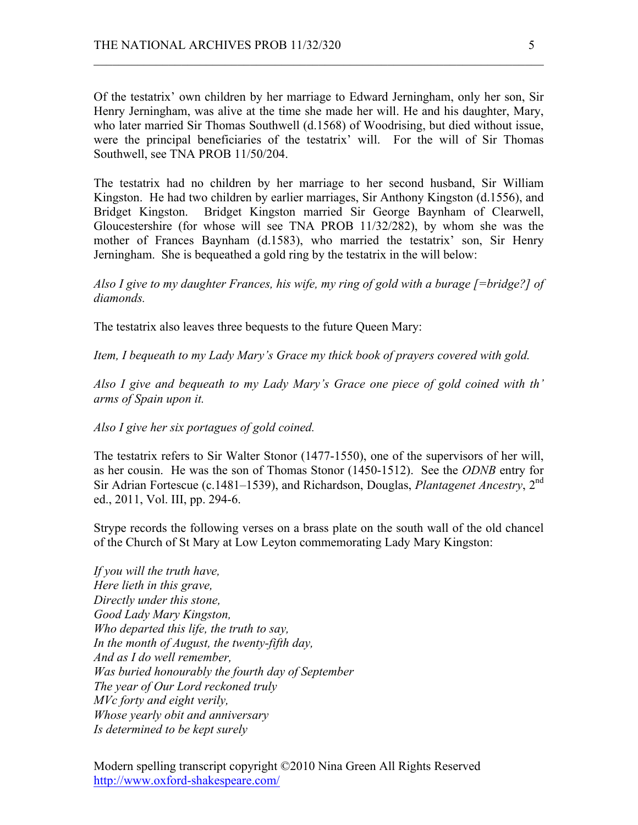Of the testatrix' own children by her marriage to Edward Jerningham, only her son, Sir Henry Jerningham, was alive at the time she made her will. He and his daughter, Mary, who later married Sir Thomas Southwell (d.1568) of Woodrising, but died without issue, were the principal beneficiaries of the testatrix' will. For the will of Sir Thomas Southwell, see TNA PROB 11/50/204.

 $\mathcal{L}_\text{max}$  , and the contribution of the contribution of the contribution of the contribution of the contribution of the contribution of the contribution of the contribution of the contribution of the contribution of t

The testatrix had no children by her marriage to her second husband, Sir William Kingston. He had two children by earlier marriages, Sir Anthony Kingston (d.1556), and Bridget Kingston. Bridget Kingston married Sir George Baynham of Clearwell, Gloucestershire (for whose will see TNA PROB 11/32/282), by whom she was the mother of Frances Baynham (d.1583), who married the testatrix' son, Sir Henry Jerningham. She is bequeathed a gold ring by the testatrix in the will below:

*Also I give to my daughter Frances, his wife, my ring of gold with a burage [=bridge?] of diamonds.*

The testatrix also leaves three bequests to the future Queen Mary:

*Item, I bequeath to my Lady Mary's Grace my thick book of prayers covered with gold.*

*Also I give and bequeath to my Lady Mary's Grace one piece of gold coined with th' arms of Spain upon it.*

*Also I give her six portagues of gold coined.*

The testatrix refers to Sir Walter Stonor (1477-1550), one of the supervisors of her will, as her cousin. He was the son of Thomas Stonor (1450-1512). See the *ODNB* entry for Sir Adrian Fortescue (c.1481–1539), and Richardson, Douglas, *Plantagenet Ancestry*, 2nd ed., 2011, Vol. III, pp. 294-6.

Strype records the following verses on a brass plate on the south wall of the old chancel of the Church of St Mary at Low Leyton commemorating Lady Mary Kingston:

*If you will the truth have, Here lieth in this grave, Directly under this stone, Good Lady Mary Kingston, Who departed this life, the truth to say, In the month of August, the twenty-fifth day, And as I do well remember, Was buried honourably the fourth day of September The year of Our Lord reckoned truly MVc forty and eight verily, Whose yearly obit and anniversary Is determined to be kept surely*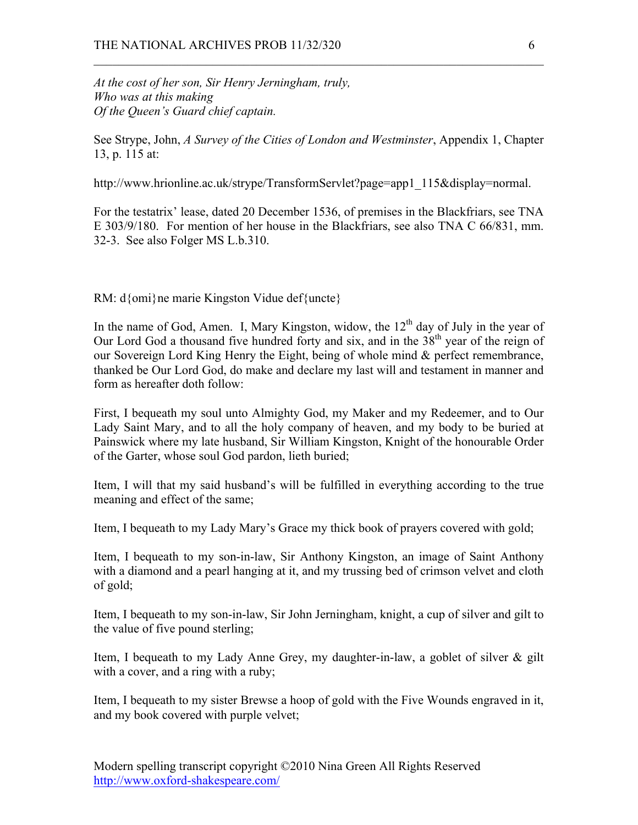*At the cost of her son, Sir Henry Jerningham, truly, Who was at this making Of the Queen's Guard chief captain.*

See Strype, John, *A Survey of the Cities of London and Westminster*, Appendix 1, Chapter 13, p. 115 at:

 $\mathcal{L}_\text{max}$  , and the contribution of the contribution of the contribution of the contribution of the contribution of the contribution of the contribution of the contribution of the contribution of the contribution of t

http://www.hrionline.ac.uk/strype/TransformServlet?page=app1\_115&display=normal.

For the testatrix' lease, dated 20 December 1536, of premises in the Blackfriars, see TNA E 303/9/180. For mention of her house in the Blackfriars, see also TNA C 66/831, mm. 32-3. See also Folger MS L.b.310.

RM: d{omi}ne marie Kingston Vidue def{uncte}

In the name of God, Amen. I, Mary Kingston, widow, the  $12<sup>th</sup>$  day of July in the year of Our Lord God a thousand five hundred forty and six, and in the  $38<sup>th</sup>$  year of the reign of our Sovereign Lord King Henry the Eight, being of whole mind & perfect remembrance, thanked be Our Lord God, do make and declare my last will and testament in manner and form as hereafter doth follow:

First, I bequeath my soul unto Almighty God, my Maker and my Redeemer, and to Our Lady Saint Mary, and to all the holy company of heaven, and my body to be buried at Painswick where my late husband, Sir William Kingston, Knight of the honourable Order of the Garter, whose soul God pardon, lieth buried;

Item, I will that my said husband's will be fulfilled in everything according to the true meaning and effect of the same;

Item, I bequeath to my Lady Mary's Grace my thick book of prayers covered with gold;

Item, I bequeath to my son-in-law, Sir Anthony Kingston, an image of Saint Anthony with a diamond and a pearl hanging at it, and my trussing bed of crimson velvet and cloth of gold;

Item, I bequeath to my son-in-law, Sir John Jerningham, knight, a cup of silver and gilt to the value of five pound sterling;

Item, I bequeath to my Lady Anne Grey, my daughter-in-law, a goblet of silver & gilt with a cover, and a ring with a ruby;

Item, I bequeath to my sister Brewse a hoop of gold with the Five Wounds engraved in it, and my book covered with purple velvet;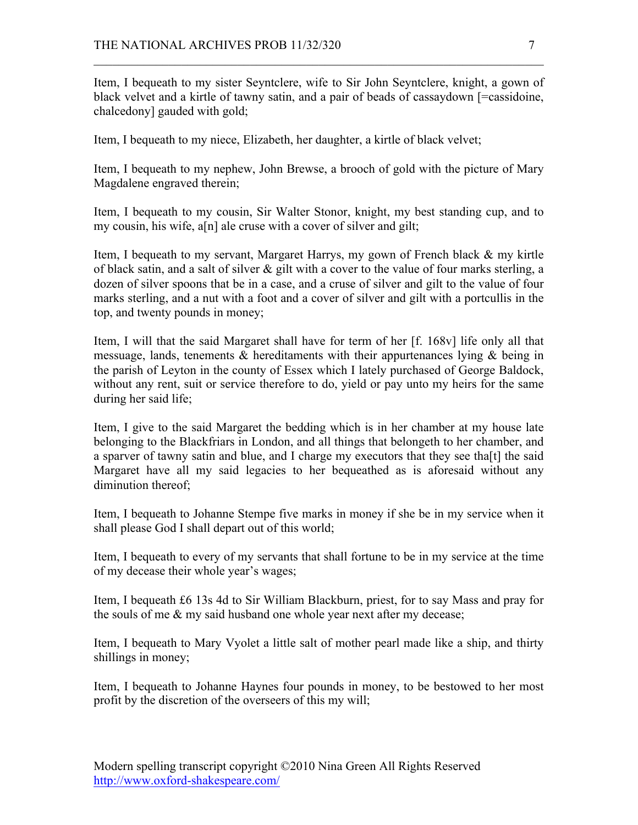Item, I bequeath to my sister Seyntclere, wife to Sir John Seyntclere, knight, a gown of black velvet and a kirtle of tawny satin, and a pair of beads of cassaydown [=cassidoine, chalcedony] gauded with gold;

 $\mathcal{L}_\text{max}$  , and the contribution of the contribution of the contribution of the contribution of the contribution of the contribution of the contribution of the contribution of the contribution of the contribution of t

Item, I bequeath to my niece, Elizabeth, her daughter, a kirtle of black velvet;

Item, I bequeath to my nephew, John Brewse, a brooch of gold with the picture of Mary Magdalene engraved therein;

Item, I bequeath to my cousin, Sir Walter Stonor, knight, my best standing cup, and to my cousin, his wife, a[n] ale cruse with a cover of silver and gilt;

Item, I bequeath to my servant, Margaret Harrys, my gown of French black & my kirtle of black satin, and a salt of silver  $\&$  gilt with a cover to the value of four marks sterling, a dozen of silver spoons that be in a case, and a cruse of silver and gilt to the value of four marks sterling, and a nut with a foot and a cover of silver and gilt with a portcullis in the top, and twenty pounds in money;

Item, I will that the said Margaret shall have for term of her [f. 168v] life only all that messuage, lands, tenements  $\&$  hereditaments with their appurtenances lying  $\&$  being in the parish of Leyton in the county of Essex which I lately purchased of George Baldock, without any rent, suit or service therefore to do, yield or pay unto my heirs for the same during her said life;

Item, I give to the said Margaret the bedding which is in her chamber at my house late belonging to the Blackfriars in London, and all things that belongeth to her chamber, and a sparver of tawny satin and blue, and I charge my executors that they see tha[t] the said Margaret have all my said legacies to her bequeathed as is aforesaid without any diminution thereof;

Item, I bequeath to Johanne Stempe five marks in money if she be in my service when it shall please God I shall depart out of this world;

Item, I bequeath to every of my servants that shall fortune to be in my service at the time of my decease their whole year's wages;

Item, I bequeath £6 13s 4d to Sir William Blackburn, priest, for to say Mass and pray for the souls of me  $\&$  my said husband one whole year next after my decease;

Item, I bequeath to Mary Vyolet a little salt of mother pearl made like a ship, and thirty shillings in money;

Item, I bequeath to Johanne Haynes four pounds in money, to be bestowed to her most profit by the discretion of the overseers of this my will;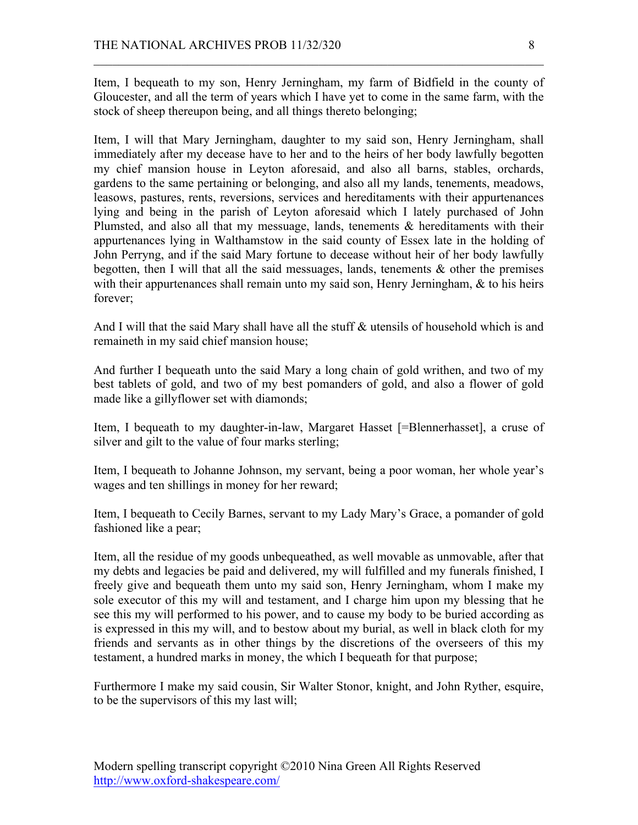Item, I bequeath to my son, Henry Jerningham, my farm of Bidfield in the county of Gloucester, and all the term of years which I have yet to come in the same farm, with the stock of sheep thereupon being, and all things thereto belonging;

 $\mathcal{L}_\text{max}$  , and the contribution of the contribution of the contribution of the contribution of the contribution of the contribution of the contribution of the contribution of the contribution of the contribution of t

Item, I will that Mary Jerningham, daughter to my said son, Henry Jerningham, shall immediately after my decease have to her and to the heirs of her body lawfully begotten my chief mansion house in Leyton aforesaid, and also all barns, stables, orchards, gardens to the same pertaining or belonging, and also all my lands, tenements, meadows, leasows, pastures, rents, reversions, services and hereditaments with their appurtenances lying and being in the parish of Leyton aforesaid which I lately purchased of John Plumsted, and also all that my messuage, lands, tenements & hereditaments with their appurtenances lying in Walthamstow in the said county of Essex late in the holding of John Perryng, and if the said Mary fortune to decease without heir of her body lawfully begotten, then I will that all the said messuages, lands, tenements  $\&$  other the premises with their appurtenances shall remain unto my said son, Henry Jerningham,  $\&$  to his heirs forever;

And I will that the said Mary shall have all the stuff & utensils of household which is and remaineth in my said chief mansion house;

And further I bequeath unto the said Mary a long chain of gold writhen, and two of my best tablets of gold, and two of my best pomanders of gold, and also a flower of gold made like a gillyflower set with diamonds;

Item, I bequeath to my daughter-in-law, Margaret Hasset [=Blennerhasset], a cruse of silver and gilt to the value of four marks sterling;

Item, I bequeath to Johanne Johnson, my servant, being a poor woman, her whole year's wages and ten shillings in money for her reward;

Item, I bequeath to Cecily Barnes, servant to my Lady Mary's Grace, a pomander of gold fashioned like a pear;

Item, all the residue of my goods unbequeathed, as well movable as unmovable, after that my debts and legacies be paid and delivered, my will fulfilled and my funerals finished, I freely give and bequeath them unto my said son, Henry Jerningham, whom I make my sole executor of this my will and testament, and I charge him upon my blessing that he see this my will performed to his power, and to cause my body to be buried according as is expressed in this my will, and to bestow about my burial, as well in black cloth for my friends and servants as in other things by the discretions of the overseers of this my testament, a hundred marks in money, the which I bequeath for that purpose;

Furthermore I make my said cousin, Sir Walter Stonor, knight, and John Ryther, esquire, to be the supervisors of this my last will;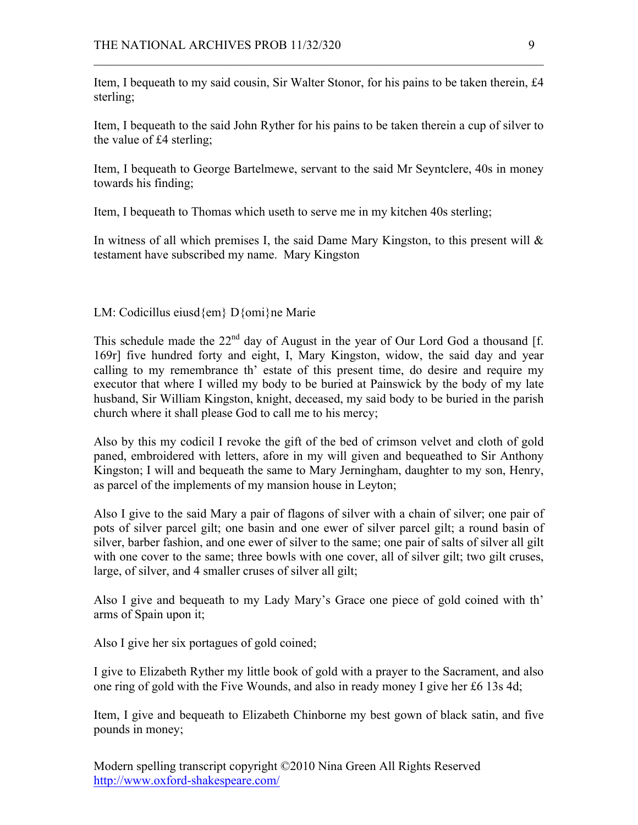Item, I bequeath to my said cousin, Sir Walter Stonor, for his pains to be taken therein, £4 sterling;

 $\mathcal{L}_\text{max}$  , and the contribution of the contribution of the contribution of the contribution of the contribution of the contribution of the contribution of the contribution of the contribution of the contribution of t

Item, I bequeath to the said John Ryther for his pains to be taken therein a cup of silver to the value of £4 sterling;

Item, I bequeath to George Bartelmewe, servant to the said Mr Seyntclere, 40s in money towards his finding;

Item, I bequeath to Thomas which useth to serve me in my kitchen 40s sterling;

In witness of all which premises I, the said Dame Mary Kingston, to this present will  $\&$ testament have subscribed my name. Mary Kingston

LM: Codicillus eiusd{em} D{omi}ne Marie

This schedule made the  $22<sup>nd</sup>$  day of August in the year of Our Lord God a thousand [f. 169r] five hundred forty and eight, I, Mary Kingston, widow, the said day and year calling to my remembrance th' estate of this present time, do desire and require my executor that where I willed my body to be buried at Painswick by the body of my late husband, Sir William Kingston, knight, deceased, my said body to be buried in the parish church where it shall please God to call me to his mercy;

Also by this my codicil I revoke the gift of the bed of crimson velvet and cloth of gold paned, embroidered with letters, afore in my will given and bequeathed to Sir Anthony Kingston; I will and bequeath the same to Mary Jerningham, daughter to my son, Henry, as parcel of the implements of my mansion house in Leyton;

Also I give to the said Mary a pair of flagons of silver with a chain of silver; one pair of pots of silver parcel gilt; one basin and one ewer of silver parcel gilt; a round basin of silver, barber fashion, and one ewer of silver to the same; one pair of salts of silver all gilt with one cover to the same; three bowls with one cover, all of silver gilt; two gilt cruses, large, of silver, and 4 smaller cruses of silver all gilt;

Also I give and bequeath to my Lady Mary's Grace one piece of gold coined with th' arms of Spain upon it;

Also I give her six portagues of gold coined;

I give to Elizabeth Ryther my little book of gold with a prayer to the Sacrament, and also one ring of gold with the Five Wounds, and also in ready money I give her £6 13s 4d;

Item, I give and bequeath to Elizabeth Chinborne my best gown of black satin, and five pounds in money;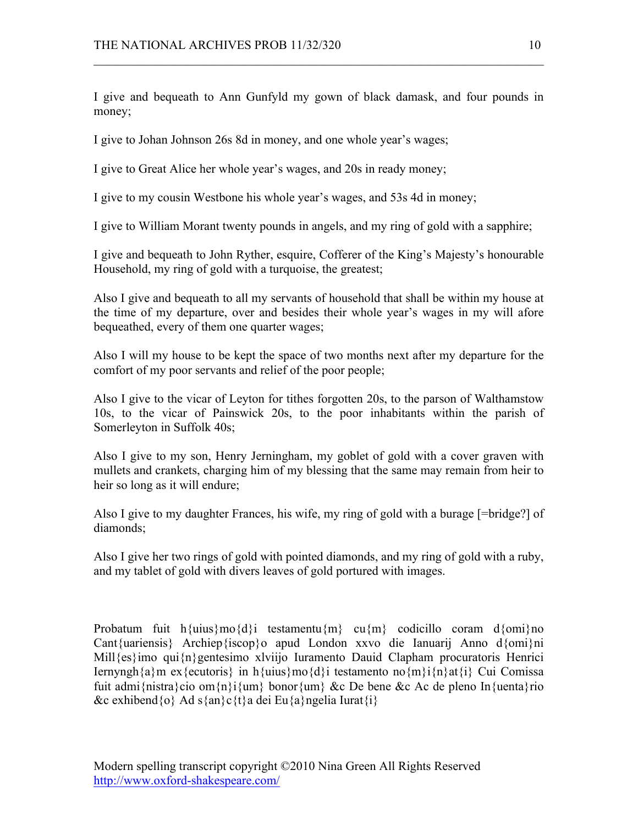I give and bequeath to Ann Gunfyld my gown of black damask, and four pounds in money;

 $\mathcal{L}_\text{max}$  , and the contribution of the contribution of the contribution of the contribution of the contribution of the contribution of the contribution of the contribution of the contribution of the contribution of t

I give to Johan Johnson 26s 8d in money, and one whole year's wages;

I give to Great Alice her whole year's wages, and 20s in ready money;

I give to my cousin Westbone his whole year's wages, and 53s 4d in money;

I give to William Morant twenty pounds in angels, and my ring of gold with a sapphire;

I give and bequeath to John Ryther, esquire, Cofferer of the King's Majesty's honourable Household, my ring of gold with a turquoise, the greatest;

Also I give and bequeath to all my servants of household that shall be within my house at the time of my departure, over and besides their whole year's wages in my will afore bequeathed, every of them one quarter wages;

Also I will my house to be kept the space of two months next after my departure for the comfort of my poor servants and relief of the poor people;

Also I give to the vicar of Leyton for tithes forgotten 20s, to the parson of Walthamstow 10s, to the vicar of Painswick 20s, to the poor inhabitants within the parish of Somerleyton in Suffolk 40s;

Also I give to my son, Henry Jerningham, my goblet of gold with a cover graven with mullets and crankets, charging him of my blessing that the same may remain from heir to heir so long as it will endure;

Also I give to my daughter Frances, his wife, my ring of gold with a burage [=bridge?] of diamonds;

Also I give her two rings of gold with pointed diamonds, and my ring of gold with a ruby, and my tablet of gold with divers leaves of gold portured with images.

Probatum fuit h{uius}mo{d}i testamentu{m} cu{m} codicillo coram d{omi}no Cant{uariensis} Archiep{iscop}o apud London xxvo die Ianuarij Anno d{omi}ni Mill{es}imo qui{n}gentesimo xlviijo Iuramento Dauid Clapham procuratoris Henrici Iernyngh $\{a\}$ m ex $\{$ ecutoris $\}$  in h $\{$ uius $\}$ mo $\{d\}$ i testamento no $\{m\}$ i $\{n\}$ at $\{i\}$  Cui Comissa fuit admi{nistra}cio om{n}i{um} bonor{um} &c De bene &c Ac de pleno In{uenta}rio &c exhibend $\{o\}$  Ad s $\{an\}c\{t\}$ a dei Eu $\{a\}$ ngelia Iurat $\{i\}$